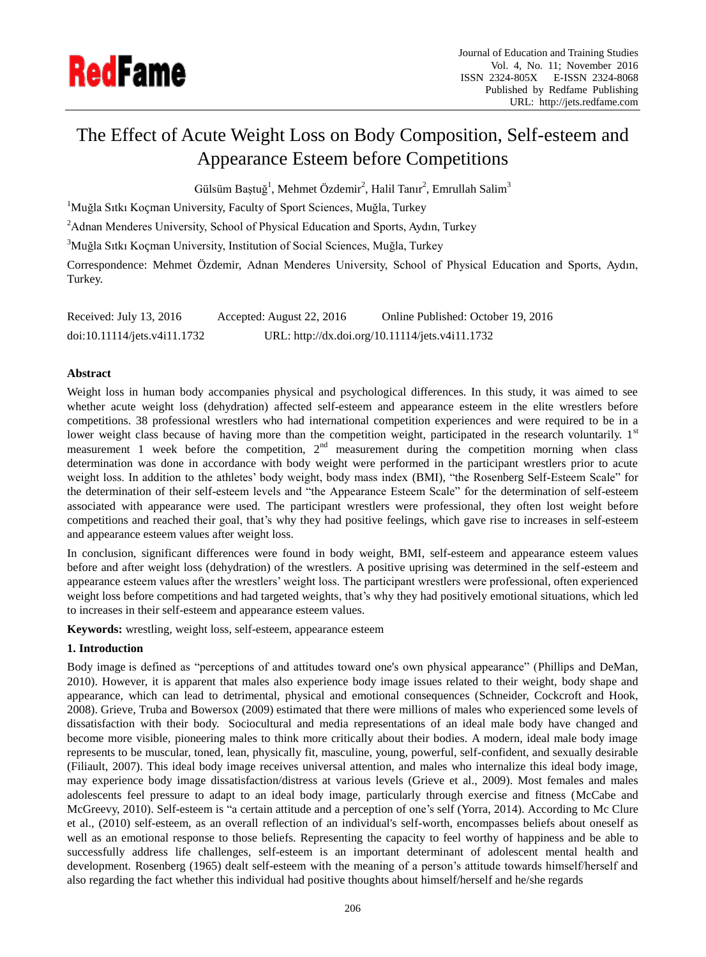

# The Effect of Acute Weight Loss on Body Composition, Self-esteem and Appearance Esteem before Competitions

Gülsüm Baştuğ<sup>1</sup>, Mehmet Özdemir<sup>2</sup>, Halil Tanır<sup>2</sup>, Emrullah Salim<sup>3</sup>

<sup>1</sup>Muğla Sıtkı Koçman University, Faculty of Sport Sciences, Muğla, Turkey

<sup>2</sup>Adnan Menderes University, School of Physical Education and Sports, Aydın, Turkey

<sup>3</sup>Muğla Sıtkı Koçman University, Institution of Social Sciences, Muğla, Turkey

Correspondence: Mehmet Özdemir, Adnan Menderes University, School of Physical Education and Sports, Aydın, Turkey.

Received: July 13, 2016 Accepted: August 22, 2016 Online Published: October 19, 2016 doi:10.11114/jets.v4i11.1732 URL: http://dx.doi.org/10.11114/jets.v4i11.1732

# **Abstract**

Weight loss in human body accompanies physical and psychological differences. In this study, it was aimed to see whether acute weight loss (dehydration) affected self-esteem and appearance esteem in the elite wrestlers before competitions. 38 professional wrestlers who had international competition experiences and were required to be in a lower weight class because of having more than the competition weight, participated in the research voluntarily.  $1<sup>st</sup>$ measurement 1 week before the competition,  $2<sup>nd</sup>$  measurement during the competition morning when class determination was done in accordance with body weight were performed in the participant wrestlers prior to acute weight loss. In addition to the athletes' body weight, body mass index (BMI), "the Rosenberg Self-Esteem Scale" for the determination of their self-esteem levels and "the Appearance Esteem Scale" for the determination of self-esteem associated with appearance were used. The participant wrestlers were professional, they often lost weight before competitions and reached their goal, that's why they had positive feelings, which gave rise to increases in self-esteem and appearance esteem values after weight loss.

In conclusion, significant differences were found in body weight, BMI, self-esteem and appearance esteem values before and after weight loss (dehydration) of the wrestlers. A positive uprising was determined in the self-esteem and appearance esteem values after the wrestlers' weight loss. The participant wrestlers were professional, often experienced weight loss before competitions and had targeted weights, that's why they had positively emotional situations, which led to increases in their self-esteem and appearance esteem values.

**Keywords:** wrestling, weight loss, self-esteem, appearance esteem

## **1. Introduction**

Body image is defined as "perceptions of and attitudes toward one's own physical appearance" (Phillips and DeMan, 2010). However, it is apparent that males also experience body image issues related to their weight, body shape and appearance, which can lead to detrimental, physical and emotional consequences (Schneider, Cockcroft and Hook, 2008). Grieve, Truba and Bowersox (2009) estimated that there were millions of males who experienced some levels of dissatisfaction with their body. Sociocultural and media representations of an ideal male body have changed and become more visible, pioneering males to think more critically about their bodies. A modern, ideal male body image represents to be muscular, toned, lean, physically fit, masculine, young, powerful, self-confident, and sexually desirable (Filiault, 2007). This ideal body image receives universal attention, and males who internalize this ideal body image, may experience body image dissatisfaction/distress at various levels (Grieve et al., 2009). Most females and males adolescents feel pressure to adapt to an ideal body image, particularly through exercise and fitness (McCabe and McGreevy, 2010). Self-esteem is "a certain attitude and a perception of one's self (Yorra, 2014). According to Mc Clure et al., (2010) self-esteem, as an overall reflection of an individual's self-worth, encompasses beliefs about oneself as well as an emotional response to those beliefs. Representing the capacity to feel worthy of happiness and be able to successfully address life challenges, self-esteem is an important determinant of adolescent mental health and development. Rosenberg (1965) dealt self-esteem with the meaning of a person's attitude towards himself/herself and also regarding the fact whether this individual had positive thoughts about himself/herself and he/she regards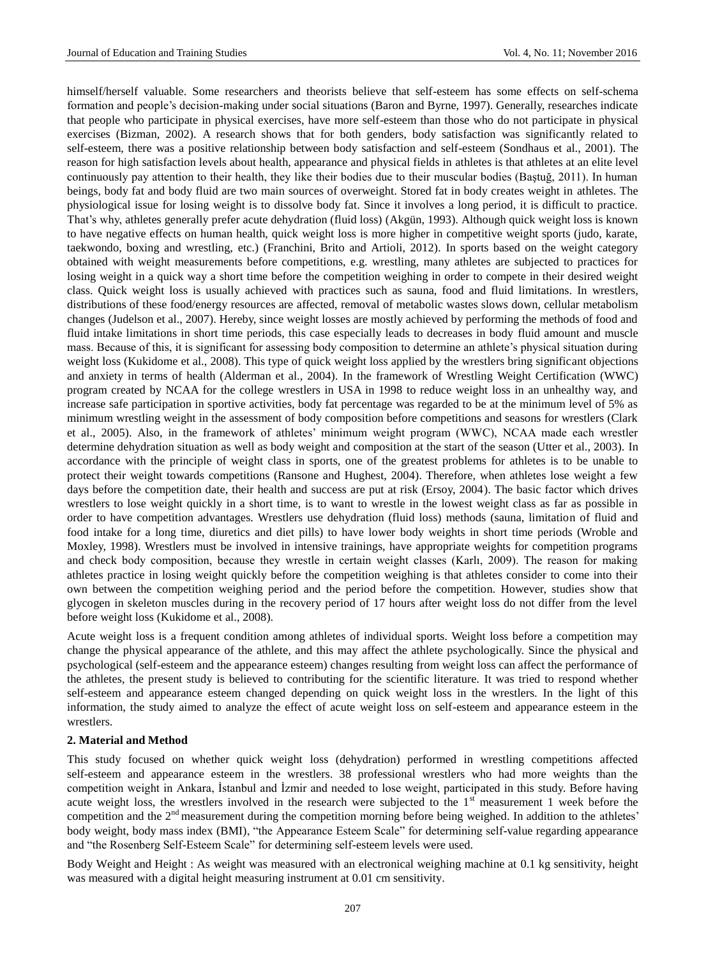himself/herself valuable. Some researchers and theorists believe that self-esteem has some effects on self-schema formation and people's decision-making under social situations (Baron and Byrne, 1997). Generally, researches indicate that people who participate in physical exercises, have more self-esteem than those who do not participate in physical exercises (Bizman, 2002). A research shows that for both genders, body satisfaction was significantly related to self-esteem, there was a positive relationship between body satisfaction and self-esteem (Sondhaus et al., 2001). The reason for high satisfaction levels about health, appearance and physical fields in athletes is that athletes at an elite level continuously pay attention to their health, they like their bodies due to their muscular bodies (Baştuğ, 2011). In human beings, body fat and body fluid are two main sources of overweight. Stored fat in body creates weight in athletes. The physiological issue for losing weight is to dissolve body fat. Since it involves a long period, it is difficult to practice. That's why, athletes generally prefer acute dehydration (fluid loss) (Akgün, 1993). Although quick weight loss is known to have negative effects on human health, quick weight loss is more higher in competitive weight sports (judo, karate, taekwondo, boxing and wrestling, etc.) (Franchini, Brito and Artioli, 2012). In sports based on the weight category obtained with weight measurements before competitions, e.g. wrestling, many athletes are subjected to practices for losing weight in a quick way a short time before the competition weighing in order to compete in their desired weight class. Quick weight loss is usually achieved with practices such as sauna, food and fluid limitations. In wrestlers, distributions of these food/energy resources are affected, removal of metabolic wastes slows down, cellular metabolism changes (Judelson et al., 2007). Hereby, since weight losses are mostly achieved by performing the methods of food and fluid intake limitations in short time periods, this case especially leads to decreases in body fluid amount and muscle mass. Because of this, it is significant for assessing body composition to determine an athlete's physical situation during weight loss (Kukidome et al., 2008). This type of quick weight loss applied by the wrestlers bring significant objections and anxiety in terms of health (Alderman et al., 2004). In the framework of Wrestling Weight Certification (WWC) program created by NCAA for the college wrestlers in USA in 1998 to reduce weight loss in an unhealthy way, and increase safe participation in sportive activities, body fat percentage was regarded to be at the minimum level of 5% as minimum wrestling weight in the assessment of body composition before competitions and seasons for wrestlers (Clark et al., 2005). Also, in the framework of athletes' minimum weight program (WWC), NCAA made each wrestler determine dehydration situation as well as body weight and composition at the start of the season (Utter et al., 2003). In accordance with the principle of weight class in sports, one of the greatest problems for athletes is to be unable to protect their weight towards competitions (Ransone and Hughest, 2004). Therefore, when athletes lose weight a few days before the competition date, their health and success are put at risk (Ersoy, 2004). The basic factor which drives wrestlers to lose weight quickly in a short time, is to want to wrestle in the lowest weight class as far as possible in order to have competition advantages. Wrestlers use dehydration (fluid loss) methods (sauna, limitation of fluid and food intake for a long time, diuretics and diet pills) to have lower body weights in short time periods (Wroble and Moxley, 1998). Wrestlers must be involved in intensive trainings, have appropriate weights for competition programs and check body composition, because they wrestle in certain weight classes (Karlı, 2009). The reason for making athletes practice in losing weight quickly before the competition weighing is that athletes consider to come into their own between the competition weighing period and the period before the competition. However, studies show that glycogen in skeleton muscles during in the recovery period of 17 hours after weight loss do not differ from the level before weight loss (Kukidome et al., 2008).

Acute weight loss is a frequent condition among athletes of individual sports. Weight loss before a competition may change the physical appearance of the athlete, and this may affect the athlete psychologically. Since the physical and psychological (self-esteem and the appearance esteem) changes resulting from weight loss can affect the performance of the athletes, the present study is believed to contributing for the scientific literature. It was tried to respond whether self-esteem and appearance esteem changed depending on quick weight loss in the wrestlers. In the light of this information, the study aimed to analyze the effect of acute weight loss on self-esteem and appearance esteem in the wrestlers.

#### **2. Material and Method**

This study focused on whether quick weight loss (dehydration) performed in wrestling competitions affected self-esteem and appearance esteem in the wrestlers. 38 professional wrestlers who had more weights than the competition weight in Ankara, İstanbul and İzmir and needed to lose weight, participated in this study. Before having acute weight loss, the wrestlers involved in the research were subjected to the  $1<sup>st</sup>$  measurement 1 week before the competition and the  $2<sup>nd</sup>$  measurement during the competition morning before being weighed. In addition to the athletes' body weight, body mass index (BMI), "the Appearance Esteem Scale" for determining self-value regarding appearance and "the Rosenberg Self-Esteem Scale" for determining self-esteem levels were used.

Body Weight and Height : As weight was measured with an electronical weighing machine at 0.1 kg sensitivity, height was measured with a digital height measuring instrument at 0.01 cm sensitivity.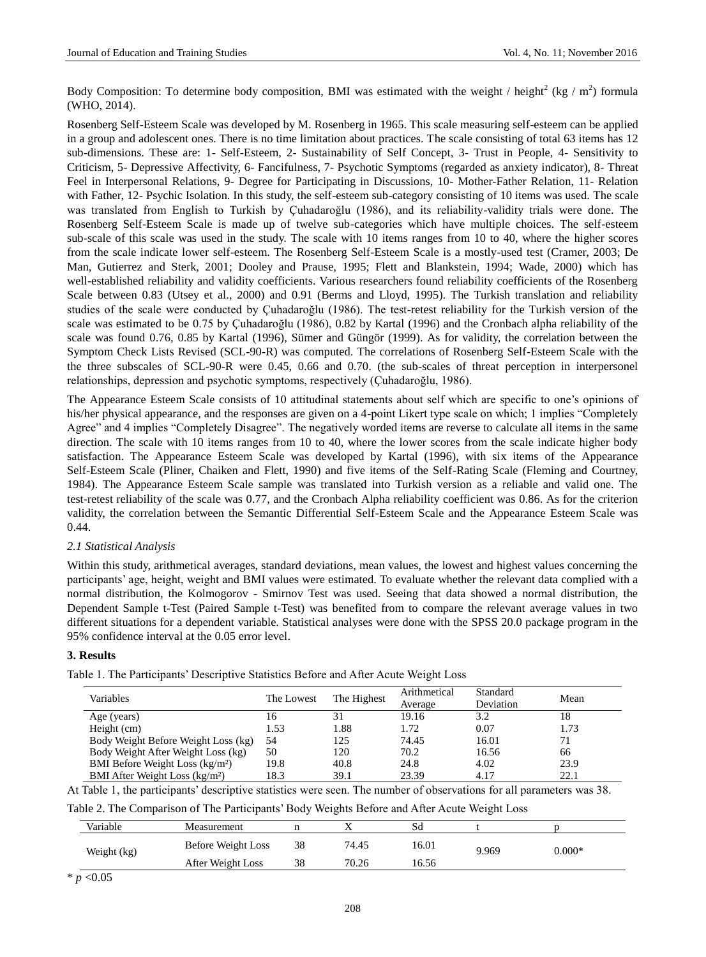Body Composition: To determine body composition, BMI was estimated with the weight / height<sup>2</sup> (kg / m<sup>2</sup>) formula (WHO, 2014).

Rosenberg Self-Esteem Scale was developed by M. Rosenberg in 1965. This scale measuring self-esteem can be applied in a group and adolescent ones. There is no time limitation about practices. The scale consisting of total 63 items has 12 sub-dimensions. These are: 1- Self-Esteem, 2- Sustainability of Self Concept, 3- Trust in People, 4- Sensitivity to Criticism, 5- Depressive Affectivity, 6- Fancifulness, 7- Psychotic Symptoms (regarded as anxiety indicator), 8- Threat Feel in Interpersonal Relations, 9- Degree for Participating in Discussions, 10- Mother-Father Relation, 11- Relation with Father, 12- Psychic Isolation. In this study, the self-esteem sub-category consisting of 10 items was used. The scale was translated from English to Turkish by Çuhadaroğlu (1986), and its reliability-validity trials were done. The Rosenberg Self-Esteem Scale is made up of twelve sub-categories which have multiple choices. The self-esteem sub-scale of this scale was used in the study. The scale with 10 items ranges from 10 to 40, where the higher scores from the scale indicate lower self-esteem. The Rosenberg Self-Esteem Scale is a mostly-used test (Cramer, 2003; De Man, Gutierrez and Sterk, 2001; Dooley and Prause, 1995; Flett and Blankstein, 1994; Wade, 2000) which has well-established reliability and validity coefficients. Various researchers found reliability coefficients of the Rosenberg Scale between 0.83 (Utsey et al., 2000) and 0.91 (Berms and Lloyd, 1995). The Turkish translation and reliability studies of the scale were conducted by Çuhadaroğlu (1986). The test-retest reliability for the Turkish version of the scale was estimated to be 0.75 by Çuhadaroğlu (1986), 0.82 by Kartal (1996) and the Cronbach alpha reliability of the scale was found 0.76, 0.85 by Kartal (1996), Sümer and Güngör (1999). As for validity, the correlation between the Symptom Check Lists Revised (SCL-90-R) was computed. The correlations of Rosenberg Self-Esteem Scale with the the three subscales of SCL-90-R were 0.45, 0.66 and 0.70. (the sub-scales of threat perception in interpersonel relationships, depression and psychotic symptoms, respectively (Çuhadaroğlu, 1986).

The Appearance Esteem Scale consists of 10 attitudinal statements about self which are specific to one's opinions of his/her physical appearance, and the responses are given on a 4-point Likert type scale on which; 1 implies "Completely Agree" and 4 implies "Completely Disagree". The negatively worded items are reverse to calculate all items in the same direction. The scale with 10 items ranges from 10 to 40, where the lower scores from the scale indicate higher body satisfaction. The Appearance Esteem Scale was developed by Kartal (1996), with six items of the Appearance Self-Esteem Scale (Pliner, Chaiken and Flett, 1990) and five items of the Self-Rating Scale (Fleming and Courtney, 1984). The Appearance Esteem Scale sample was translated into Turkish version as a reliable and valid one. The test-retest reliability of the scale was 0.77, and the Cronbach Alpha reliability coefficient was 0.86. As for the criterion validity, the correlation between the Semantic Differential Self-Esteem Scale and the Appearance Esteem Scale was 0.44.

# *2.1 Statistical Analysis*

Within this study, arithmetical averages, standard deviations, mean values, the lowest and highest values concerning the participants' age, height, weight and BMI values were estimated. To evaluate whether the relevant data complied with a normal distribution, the Kolmogorov - Smirnov Test was used. Seeing that data showed a normal distribution, the Dependent Sample t-Test (Paired Sample t-Test) was benefited from to compare the relevant average values in two different situations for a dependent variable. Statistical analyses were done with the SPSS 20.0 package program in the 95% confidence interval at the 0.05 error level.

### **3. Results**

Table 1. The Participants' Descriptive Statistics Before and After Acute Weight Loss

| Variables                           | The Lowest | The Highest | Arithmetical<br>Average | Standard<br>Deviation | Mean |
|-------------------------------------|------------|-------------|-------------------------|-----------------------|------|
| Age (years)                         | 16         |             | 19.16                   | 3.2                   | 18   |
| Height (cm)                         | 1.53       | 1.88        | 1.72                    | 0.07                  | 1.73 |
| Body Weight Before Weight Loss (kg) | 54         | 125         | 74.45                   | 16.01                 | 71   |
| Body Weight After Weight Loss (kg)  | 50         | 120         | 70.2                    | 16.56                 | 66   |
| BMI Before Weight Loss (kg/m 3)     | 19.8       | 40.8        | 24.8                    | 4.02                  | 23.9 |
| BMI After Weight Loss (kg/m 3)      | 18.3       | 39.1        | 23.39                   | 4.17                  | 22.1 |

At Table 1, the participants' descriptive statistics were seen. The number of observations for all parameters was 38.

Table 2. The Comparison of The Participants' Body Weights Before and After Acute Weight Loss

| Variable    | Measurement        |    |       | Sd    |       |          |
|-------------|--------------------|----|-------|-------|-------|----------|
| Weight (kg) | Before Weight Loss | 38 | 74.45 | 16.01 | 9.969 | $0.000*$ |
|             | After Weight Loss  | 38 | 70.26 | 16.56 |       |          |

\* *p* <0.05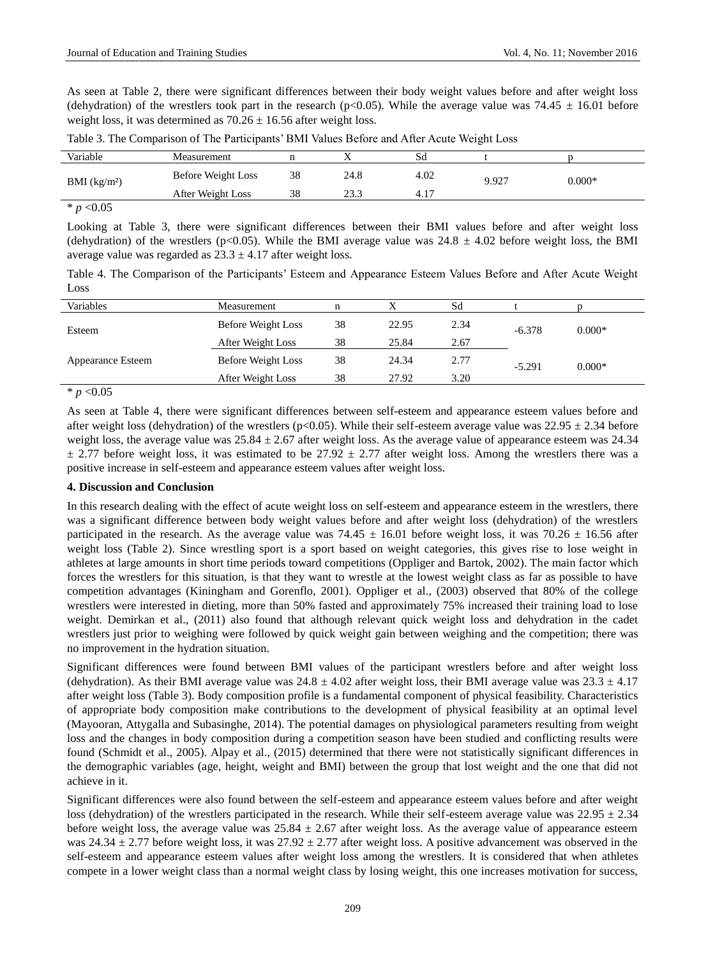As seen at Table 2, there were significant differences between their body weight values before and after weight loss (dehydration) of the wrestlers took part in the research (p<0.05). While the average value was 74.45  $\pm$  16.01 before weight loss, it was determined as  $70.26 \pm 16.56$  after weight loss.

| Variable     | Measurement        |    |       | Sd   |       |          |
|--------------|--------------------|----|-------|------|-------|----------|
| BMI $(kg/m)$ | Before Weight Loss | 38 | 24.8  | 4.02 | 9.927 | $0.000*$ |
|              | After Weight Loss  | 38 | ر. رے | 4.1  |       |          |
|              |                    |    |       |      |       |          |

Table 3. The Comparison of The Participants' BMI Values Before and After Acute Weight Loss

 $* p < 0.05$ 

Looking at Table 3, there were significant differences between their BMI values before and after weight loss (dehydration) of the wrestlers (p<0.05). While the BMI average value was  $24.8 \pm 4.02$  before weight loss, the BMI average value was regarded as  $23.3 \pm 4.17$  after weight loss.

Table 4. The Comparison of the Participants' Esteem and Appearance Esteem Values Before and After Acute Weight Loss

| Variables                | Measurement        |    |       | Sd   |          |          |
|--------------------------|--------------------|----|-------|------|----------|----------|
| Esteem                   | Before Weight Loss | 38 | 22.95 | 2.34 | $-6.378$ | $0.000*$ |
|                          | After Weight Loss  | 38 | 25.84 | 2.67 |          |          |
| <b>Appearance Esteem</b> | Before Weight Loss | 38 | 24.34 | 2.77 | $-5.291$ | $0.000*$ |
|                          | After Weight Loss  | 38 | 27.92 | 3.20 |          |          |

 $* p < 0.05$ 

As seen at Table 4, there were significant differences between self-esteem and appearance esteem values before and after weight loss (dehydration) of the wrestlers (p<0.05). While their self-esteem average value was  $22.95 \pm 2.34$  before weight loss, the average value was  $25.84 \pm 2.67$  after weight loss. As the average value of appearance esteem was 24.34  $\pm$  2.77 before weight loss, it was estimated to be 27.92  $\pm$  2.77 after weight loss. Among the wrestlers there was a positive increase in self-esteem and appearance esteem values after weight loss.

### **4. Discussion and Conclusion**

In this research dealing with the effect of acute weight loss on self-esteem and appearance esteem in the wrestlers, there was a significant difference between body weight values before and after weight loss (dehydration) of the wrestlers participated in the research. As the average value was  $74.45 \pm 16.01$  before weight loss, it was  $70.26 \pm 16.56$  after weight loss (Table 2). Since wrestling sport is a sport based on weight categories, this gives rise to lose weight in athletes at large amounts in short time periods toward competitions (Oppliger and Bartok, 2002). The main factor which forces the wrestlers for this situation, is that they want to wrestle at the lowest weight class as far as possible to have competition advantages (Kiningham and Gorenflo, 2001). Oppliger et al., (2003) observed that 80% of the college wrestlers were interested in dieting, more than 50% fasted and approximately 75% increased their training load to lose weight. Demirkan et al., (2011) also found that although relevant quick weight loss and dehydration in the cadet wrestlers just prior to weighing were followed by quick weight gain between weighing and the competition; there was no improvement in the hydration situation.

Significant differences were found between BMI values of the participant wrestlers before and after weight loss (dehydration). As their BMI average value was  $24.8 \pm 4.02$  after weight loss, their BMI average value was  $23.3 \pm 4.17$ after weight loss (Table 3). Body composition profile is a fundamental component of physical feasibility. Characteristics of appropriate body composition make contributions to the development of physical feasibility at an optimal level (Mayooran, Attygalla and Subasinghe, 2014). The potential damages on physiological parameters resulting from weight loss and the changes in body composition during a competition season have been studied and conflicting results were found (Schmidt et al., 2005). Alpay et al., (2015) determined that there were not statistically significant differences in the demographic variables (age, height, weight and BMI) between the group that lost weight and the one that did not achieve in it.

Significant differences were also found between the self-esteem and appearance esteem values before and after weight loss (dehydration) of the wrestlers participated in the research. While their self-esteem average value was  $22.95 \pm 2.34$ before weight loss, the average value was  $25.84 \pm 2.67$  after weight loss. As the average value of appearance esteem was 24.34  $\pm$  2.77 before weight loss, it was 27.92  $\pm$  2.77 after weight loss. A positive advancement was observed in the self-esteem and appearance esteem values after weight loss among the wrestlers. It is considered that when athletes compete in a lower weight class than a normal weight class by losing weight, this one increases motivation for success,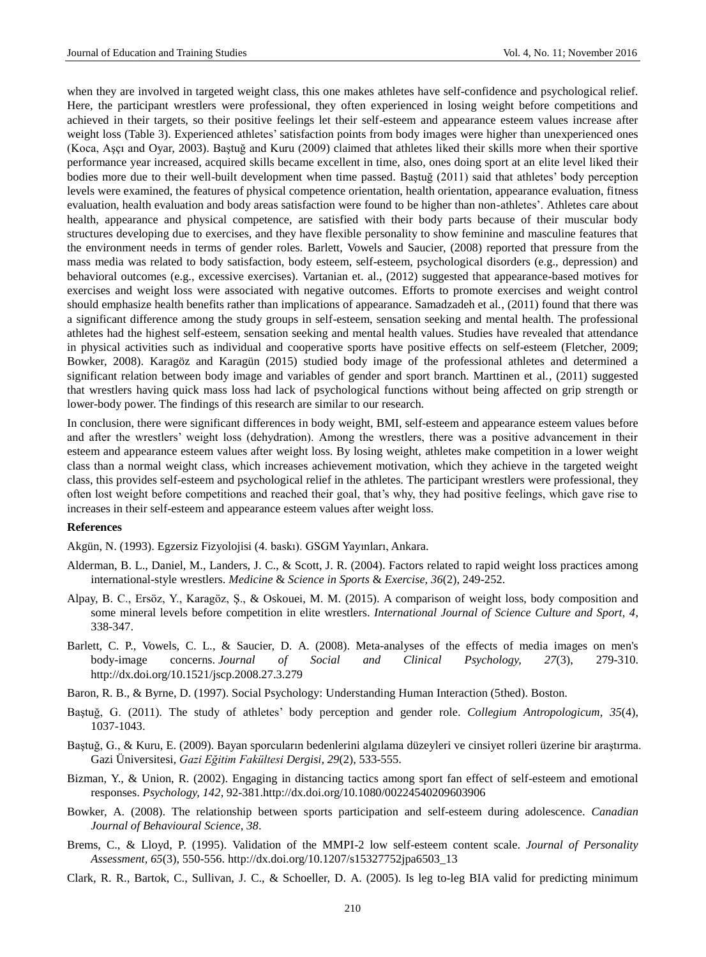when they are involved in targeted weight class, this one makes athletes have self-confidence and psychological relief. Here, the participant wrestlers were professional, they often experienced in losing weight before competitions and achieved in their targets, so their positive feelings let their self-esteem and appearance esteem values increase after weight loss (Table 3). Experienced athletes' satisfaction points from body images were higher than unexperienced ones (Koca, Aşçı and Oyar, 2003). Baştuğ and Kuru (2009) claimed that athletes liked their skills more when their sportive performance year increased, acquired skills became excellent in time, also, ones doing sport at an elite level liked their bodies more due to their well-built development when time passed. Baştuğ (2011) said that athletes' body perception levels were examined, the features of physical competence orientation, health orientation, appearance evaluation, fitness evaluation, health evaluation and body areas satisfaction were found to be higher than non-athletes'. Athletes care about health, appearance and physical competence, are satisfied with their body parts because of their muscular body structures developing due to exercises, and they have flexible personality to show feminine and masculine features that the environment needs in terms of gender roles. Barlett, Vowels and Saucier, (2008) reported that pressure from the mass media was related to body satisfaction, body esteem, self-esteem, psychological disorders (e.g., depression) and behavioral outcomes (e.g., excessive exercises). Vartanian et. al., (2012) suggested that appearance-based motives for exercises and weight loss were associated with negative outcomes. Efforts to promote exercises and weight control should emphasize health benefits rather than implications of appearance. Samadzadeh et al., (2011) found that there was a significant difference among the study groups in self-esteem, sensation seeking and mental health. The professional athletes had the highest self-esteem, sensation seeking and mental health values. Studies have revealed that attendance in physical activities such as individual and cooperative sports have positive effects on self-esteem (Fletcher, 2009; Bowker, 2008). Karagöz and Karagün (2015) studied body image of the professional athletes and determined a significant relation between body image and variables of gender and sport branch. Marttinen et al., (2011) suggested that wrestlers having quick mass loss had lack of psychological functions without being affected on grip strength or lower-body power. The findings of this research are similar to our research.

In conclusion, there were significant differences in body weight, BMI, self-esteem and appearance esteem values before and after the wrestlers' weight loss (dehydration). Among the wrestlers, there was a positive advancement in their esteem and appearance esteem values after weight loss. By losing weight, athletes make competition in a lower weight class than a normal weight class, which increases achievement motivation, which they achieve in the targeted weight class, this provides self-esteem and psychological relief in the athletes. The participant wrestlers were professional, they often lost weight before competitions and reached their goal, that's why, they had positive feelings, which gave rise to increases in their self-esteem and appearance esteem values after weight loss.

#### **References**

Akgün, N. (1993). Egzersiz Fizyolojisi (4. baskı). GSGM Yayınları, Ankara.

- Alderman, B. L., Daniel, M., Landers, J. C., & Scott, J. R. (2004). Factors related to rapid weight loss practices among international-style wrestlers. *Medicine* & *Science in Sports* & *Exercise, 36*(2), 249-252.
- Alpay, B. C., Ersöz, Y., Karagöz, Ş., & Oskouei, M. M. (2015). A comparison of weight loss, body composition and some mineral levels before competition in elite wrestlers. *International Journal of Science Culture and Sport, 4*, 338-347.
- Barlett, C. P., Vowels, C. L., & Saucier, D. A. (2008). Meta-analyses of the effects of media images on men's body-image concerns. *Journal of Social and Clinical Psychology, 27*(3), 279-310. <http://dx.doi.org/10.1521/jscp.2008.27.3.279>
- Baron, R. B., & Byrne, D. (1997). Social Psychology: Understanding Human Interaction (5thed). Boston.
- Baştuğ, G. (2011). The study of athletes' body perception and gender role. *Collegium Antropologicum, 35*(4), 1037-1043.
- Baştuğ, G., & Kuru, E. (2009). Bayan sporcuların bedenlerini algılama düzeyleri ve cinsiyet rolleri üzerine bir araştırma. Gazi Üniversitesi*, Gazi Eğitim Fakültesi Dergisi, 29*(2), 533-555.
- Bizman, Y., & Union, R. (2002). Engaging in distancing tactics among sport fan effect of self-esteem and emotional responses. *Psychology, 142*, 92-381[.http://dx.doi.org/10.1080/00224540209603906](http://dx.doi.org/10.1080/00224540209603906)
- Bowker, A. (2008). The relationship between sports participation and self-esteem during adolescence. *Canadian Journal of Behavioural Science, 38*.
- Brems, C., & Lloyd, P. (1995). Validation of the MMPI-2 low self-esteem content scale. *Journal of Personality Assessment, 65*(3), 550-556. [http://dx.doi.org/10.1207/s15327752jpa6503\\_13](http://dx.doi.org/10.1207/s15327752jpa6503_13)
- Clark, R. R., Bartok, C., Sullivan, J. C., & Schoeller, D. A. (2005). Is leg to-leg BIA valid for predicting minimum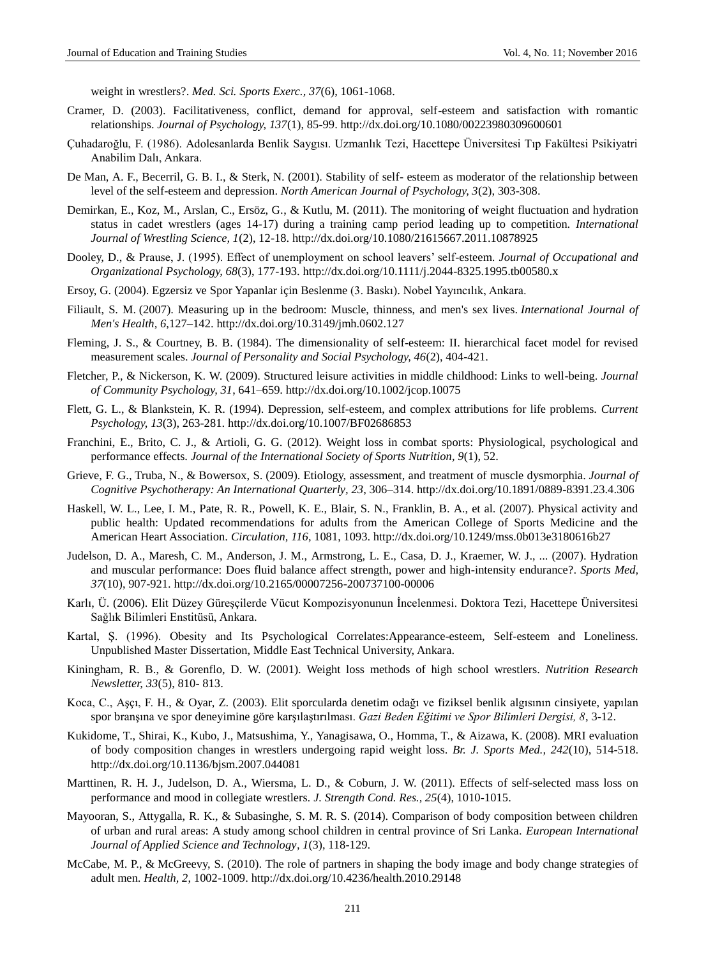weight in wrestlers?. *Med. Sci. Sports Exerc., 37*(6), 1061-1068.

- Cramer, D. (2003). Facilitativeness, conflict, demand for approval, self-esteem and satisfaction with romantic relationships. *Journal of Psychology, 137*(1), 85-99.<http://dx.doi.org/10.1080/00223980309600601>
- Çuhadaroğlu, F. (1986). Adolesanlarda Benlik Saygısı. Uzmanlık Tezi, Hacettepe Üniversitesi Tıp Fakültesi Psikiyatri Anabilim Dalı, Ankara.
- De Man, A. F., Becerril, G. B. I., & Sterk, N. (2001). Stability of self- esteem as moderator of the relationship between level of the self-esteem and depression. *North American Journal of Psychology, 3*(2), 303-308.
- Demirkan, E., Koz, M., Arslan, C., Ersöz, G., & Kutlu, M. (2011). The monitoring of weight fluctuation and hydration status in cadet wrestlers (ages 14-17) during a training camp period leading up to competition. *International Journal of Wrestling Science, 1*(2), 12-18[. http://dx.doi.org/10.1080/21615667.2011.10878925](http://dx.doi.org/10.1080/21615667.2011.10878925)
- Dooley, D., & Prause, J. (1995). Effect of unemployment on school leavers' self-esteem. *Journal of Occupational and Organizational Psychology, 68*(3), 177-193[. http://dx.doi.org/10.1111/j.2044-8325.1995.tb00580.x](http://dx.doi.org/10.1111/j.2044-8325.1995.tb00580.x)
- Ersoy, G. (2004). Egzersiz ve Spor Yapanlar için Beslenme (3. Baskı). Nobel Yayıncılık, Ankara.
- Filiault, S. M. (2007). Measuring up in the bedroom: Muscle, thinness, and men's sex lives. *International Journal of Men's Health, 6*,127–142. <http://dx.doi.org/10.3149/jmh.0602.127>
- Fleming, J. S., & Courtney, B. B. (1984). The dimensionality of self-esteem: II. hierarchical facet model for revised measurement scales. *Journal of Personality and Social Psychology, 46*(2), 404-421.
- Fletcher, P., & Nickerson, K. W. (2009). Structured leisure activities in middle childhood: Links to well-being. *Journal of Community Psychology, 31*, 641–659.<http://dx.doi.org/10.1002/jcop.10075>
- Flett, G. L., & Blankstein, K. R. (1994). Depression, self-esteem, and complex attributions for life problems. *Current Psychology, 13*(3), 263-281.<http://dx.doi.org/10.1007/BF02686853>
- Franchini, E., Brito, C. J., & Artioli, G. G. (2012). Weight loss in combat sports: Physiological, psychological and performance effects. *Journal of the International Society of Sports Nutrition, 9*(1), 52.
- Grieve, F. G., Truba, N., & Bowersox, S. (2009). Etiology, assessment, and treatment of muscle dysmorphia. *Journal of Cognitive Psychotherapy: An International Quarterly, 23*, 306–314. <http://dx.doi.org/10.1891/0889-8391.23.4.306>
- Haskell, W. L., Lee, I. M., Pate, R. R., Powell, K. E., Blair, S. N., Franklin, B. A., et al. (2007). Physical activity and public health: Updated recommendations for adults from the American College of Sports Medicine and the American Heart Association. *Circulation, 116,* 1081, 1093.<http://dx.doi.org/10.1249/mss.0b013e3180616b27>
- Judelson, D. A., Maresh, C. M., Anderson, J. M., Armstrong, L. E., Casa, D. J., Kraemer, W. J., ... (2007). Hydration and muscular performance: Does fluid balance affect strength, power and high-intensity endurance?. *Sports Med, 37*(10), 907-921[. http://dx.doi.org/10.2165/00007256-200737100-00006](http://dx.doi.org/10.2165/00007256-200737100-00006)
- Karlı, Ü. (2006). Elit Düzey Güreşçilerde Vücut Kompozisyonunun İncelenmesi. Doktora Tezi, Hacettepe Üniversitesi Sağlık Bilimleri Enstitüsü, Ankara.
- Kartal, Ş. (1996). Obesity and Its Psychological Correlates:Appearance-esteem, Self-esteem and Loneliness. Unpublished Master Dissertation, Middle East Technical University, Ankara.
- Kiningham, R. B., & Gorenflo, D. W. (2001). Weight loss methods of high school wrestlers. *Nutrition Research Newsletter, 33*(5), 810- 813.
- Koca, C., Aşçı, F. H., & Oyar, Z. (2003). Elit sporcularda denetim odağı ve fiziksel benlik algısının cinsiyete, yapılan spor branşına ve spor deneyimine göre karşılaştırılması. *Gazi Beden Eğitimi ve Spor Bilimleri Dergisi, 8*, 3-12.
- Kukidome, T., Shirai, K., Kubo, J., Matsushima, Y., Yanagisawa, O., Homma, T., & Aizawa, K. (2008). MRI evaluation of body composition changes in wrestlers undergoing rapid weight loss. *Br. J. Sports Med., 242*(10), 514-518. <http://dx.doi.org/10.1136/bjsm.2007.044081>
- Marttinen, R. H. J., Judelson, D. A., Wiersma, L. D., & Coburn, J. W. (2011). Effects of self-selected mass loss on performance and mood in collegiate wrestlers. *J. Strength Cond. Res., 25*(4), 1010-1015.
- Mayooran, S., Attygalla, R. K., & Subasinghe, S. M. R. S. (2014). Comparison of body composition between children of urban and rural areas: A study among school children in central province of Sri Lanka. *European International Journal of Applied Science and Technology, 1*(3), 118-129.
- McCabe, M. P., & McGreevy, S. (2010). The role of partners in shaping the body image and body change strategies of adult men. *Health, 2*, 1002-1009. <http://dx.doi.org/10.4236/health.2010.29148>